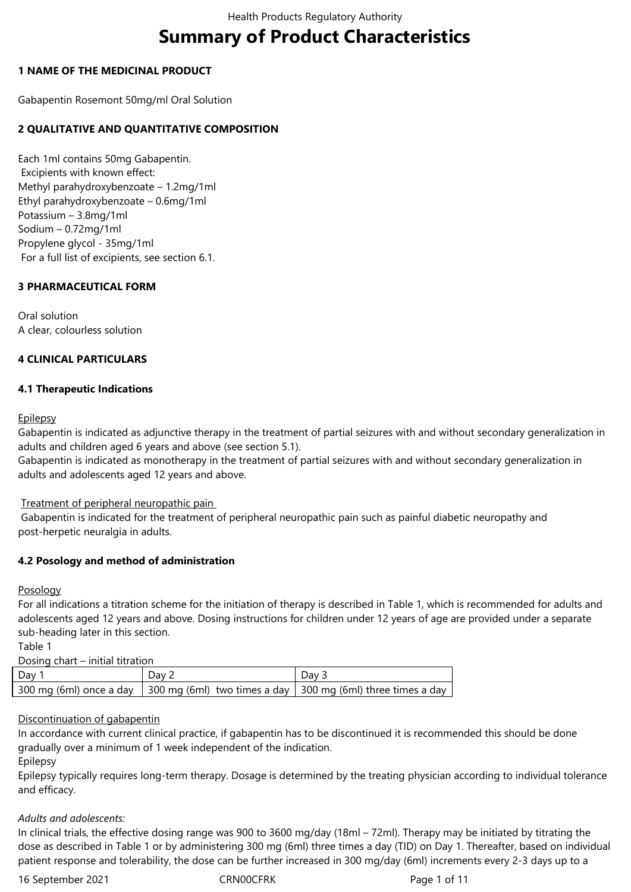# **Summary of Product Characteristics**

## **1 NAME OF THE MEDICINAL PRODUCT**

Gabapentin Rosemont 50mg/ml Oral Solution

# **2 QUALITATIVE AND QUANTITATIVE COMPOSITION**

Each 1ml contains 50mg Gabapentin. Excipients with known effect: Methyl parahydroxybenzoate – 1.2mg/1ml Ethyl parahydroxybenzoate – 0.6mg/1ml Potassium – 3.8mg/1ml Sodium – 0.72mg/1ml Propylene glycol - 35mg/1ml For a full list of excipients, see section 6.1.

# **3 PHARMACEUTICAL FORM**

Oral solution A clear, colourless solution

# **4 CLINICAL PARTICULARS**

## **4.1 Therapeutic Indications**

## Epilepsy

Gabapentin is indicated as adjunctive therapy in the treatment of partial seizures with and without secondary generalization in adults and children aged 6 years and above (see section 5.1).

Gabapentin is indicated as monotherapy in the treatment of partial seizures with and without secondary generalization in adults and adolescents aged 12 years and above.

Treatment of peripheral neuropathic pain

Gabapentin is indicated for the treatment of peripheral neuropathic pain such as painful diabetic neuropathy and post-herpetic neuralgia in adults.

# **4.2 Posology and method of administration**

## Posology

For all indications a titration scheme for the initiation of therapy is described in Table 1, which is recommended for adults and adolescents aged 12 years and above. Dosing instructions for children under 12 years of age are provided under a separate sub-heading later in this section.

Table 1

Dosing chart – initial titration

| Dav | $\cdot$ Dav $\sim$ | Dav -                                                                                   |
|-----|--------------------|-----------------------------------------------------------------------------------------|
|     |                    | 300 mg (6ml) once a day   300 mg (6ml) two times a day   300 mg (6ml) three times a day |

## Discontinuation of gabapentin

In accordance with current clinical practice, if gabapentin has to be discontinued it is recommended this should be done gradually over a minimum of 1 week independent of the indication.

Epilepsy

Epilepsy typically requires long-term therapy. Dosage is determined by the treating physician according to individual tolerance and efficacy.

# *Adults and adolescents:*

In clinical trials, the effective dosing range was 900 to 3600 mg/day (18ml – 72ml). Therapy may be initiated by titrating the dose as described in Table 1 or by administering 300 mg (6ml) three times a day (TID) on Day 1. Thereafter, based on individual patient response and tolerability, the dose can be further increased in 300 mg/day (6ml) increments every 2-3 days up to a

16 September 2021 CRN00CFRK Page 1 of 11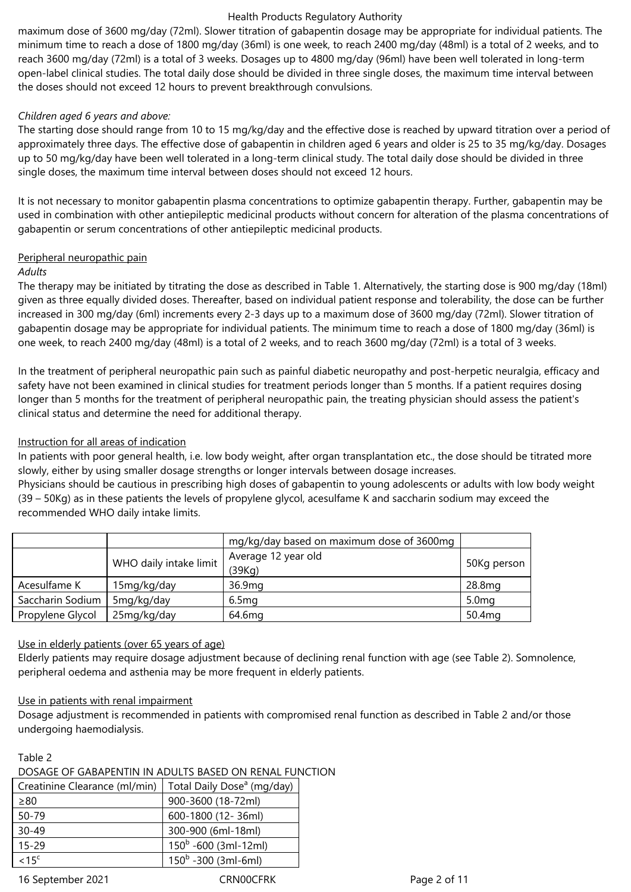maximum dose of 3600 mg/day (72ml). Slower titration of gabapentin dosage may be appropriate for individual patients. The minimum time to reach a dose of 1800 mg/day (36ml) is one week, to reach 2400 mg/day (48ml) is a total of 2 weeks, and to reach 3600 mg/day (72ml) is a total of 3 weeks. Dosages up to 4800 mg/day (96ml) have been well tolerated in long-term open-label clinical studies. The total daily dose should be divided in three single doses, the maximum time interval between the doses should not exceed 12 hours to prevent breakthrough convulsions.

## *Children aged 6 years and above:*

The starting dose should range from 10 to 15 mg/kg/day and the effective dose is reached by upward titration over a period of approximately three days. The effective dose of gabapentin in children aged 6 years and older is 25 to 35 mg/kg/day. Dosages up to 50 mg/kg/day have been well tolerated in a long-term clinical study. The total daily dose should be divided in three single doses, the maximum time interval between doses should not exceed 12 hours.

It is not necessary to monitor gabapentin plasma concentrations to optimize gabapentin therapy. Further, gabapentin may be used in combination with other antiepileptic medicinal products without concern for alteration of the plasma concentrations of gabapentin or serum concentrations of other antiepileptic medicinal products.

# Peripheral neuropathic pain

## *Adults*

The therapy may be initiated by titrating the dose as described in Table 1. Alternatively, the starting dose is 900 mg/day (18ml) given as three equally divided doses. Thereafter, based on individual patient response and tolerability, the dose can be further increased in 300 mg/day (6ml) increments every 2-3 days up to a maximum dose of 3600 mg/day (72ml). Slower titration of gabapentin dosage may be appropriate for individual patients. The minimum time to reach a dose of 1800 mg/day (36ml) is one week, to reach 2400 mg/day (48ml) is a total of 2 weeks, and to reach 3600 mg/day (72ml) is a total of 3 weeks.

In the treatment of peripheral neuropathic pain such as painful diabetic neuropathy and post-herpetic neuralgia, efficacy and safety have not been examined in clinical studies for treatment periods longer than 5 months. If a patient requires dosing longer than 5 months for the treatment of peripheral neuropathic pain, the treating physician should assess the patient's clinical status and determine the need for additional therapy.

## Instruction for all areas of indication

In patients with poor general health, i.e. low body weight, after organ transplantation etc., the dose should be titrated more slowly, either by using smaller dosage strengths or longer intervals between dosage increases.

Physicians should be cautious in prescribing high doses of gabapentin to young adolescents or adults with low body weight (39 – 50Kg) as in these patients the levels of propylene glycol, acesulfame K and saccharin sodium may exceed the recommended WHO daily intake limits.

|                  |                        | mg/kg/day based on maximum dose of 3600mg |                    |  |
|------------------|------------------------|-------------------------------------------|--------------------|--|
|                  |                        | Average 12 year old                       |                    |  |
|                  | WHO daily intake limit | (39Kq)                                    | 50Kg person        |  |
| Acesulfame K     | 15mg/kg/day            | 36.9mg                                    | 28.8mg             |  |
| Saccharin Sodium | 5mg/kg/day             | 6.5 <sub>mg</sub>                         | 5.0 <sub>mg</sub>  |  |
| Propylene Glycol | 25mg/kg/day            | 64.6mg                                    | 50.4 <sub>mg</sub> |  |

## Use in elderly patients (over 65 years of age)

Elderly patients may require dosage adjustment because of declining renal function with age (see Table 2). Somnolence, peripheral oedema and asthenia may be more frequent in elderly patients.

## Use in patients with renal impairment

Dosage adjustment is recommended in patients with compromised renal function as described in Table 2 and/or those undergoing haemodialysis.

#### Table 2

## DOSAGE OF GABAPENTIN IN ADULTS BASED ON RENAL FUNCTION

| Creatinine Clearance (ml/min) | Total Daily Dose <sup>a</sup> (mg/day) |
|-------------------------------|----------------------------------------|
| $\geq 80$                     | 900-3600 (18-72ml)                     |
| $50 - 79$                     | 600-1800 (12-36ml)                     |
| $30 - 49$                     | 300-900 (6ml-18ml)                     |
| $15 - 29$                     | $150^b - 600$ (3ml-12ml)               |
| < 15 <sup>c</sup>             | $150^b - 300$ (3ml-6ml)                |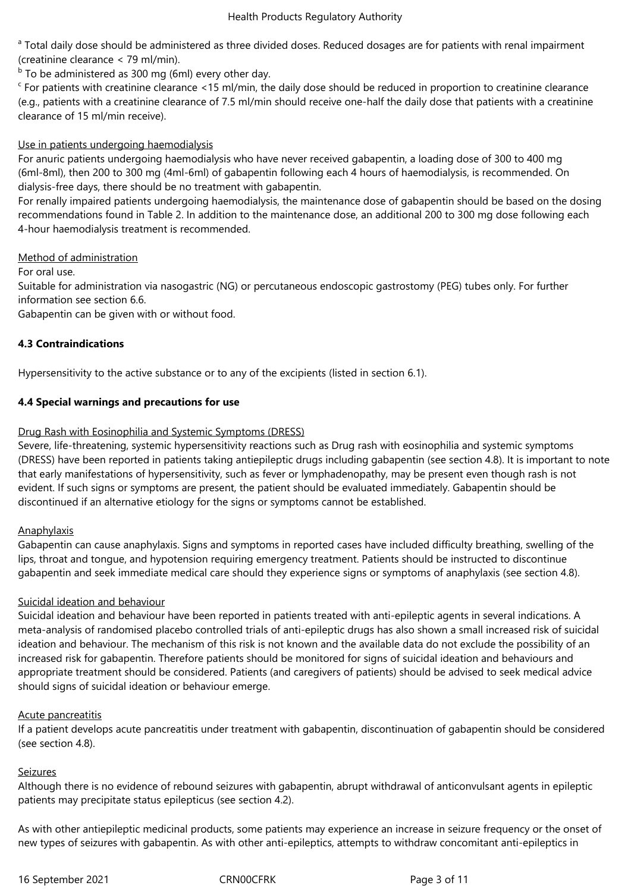<sup>a</sup> Total daily dose should be administered as three divided doses. Reduced dosages are for patients with renal impairment (creatinine clearance < 79 ml/min).

 $b$  To be administered as 300 mg (6ml) every other day.

 $c$  For patients with creatinine clearance <15 ml/min, the daily dose should be reduced in proportion to creatinine clearance (e.g., patients with a creatinine clearance of 7.5 ml/min should receive one-half the daily dose that patients with a creatinine clearance of 15 ml/min receive).

## Use in patients undergoing haemodialysis

For anuric patients undergoing haemodialysis who have never received gabapentin, a loading dose of 300 to 400 mg (6ml-8ml), then 200 to 300 mg (4ml-6ml) of gabapentin following each 4 hours of haemodialysis, is recommended. On dialysis-free days, there should be no treatment with gabapentin.

For renally impaired patients undergoing haemodialysis, the maintenance dose of gabapentin should be based on the dosing recommendations found in Table 2. In addition to the maintenance dose, an additional 200 to 300 mg dose following each 4-hour haemodialysis treatment is recommended.

## Method of administration

For oral use.

Suitable for administration via nasogastric (NG) or percutaneous endoscopic gastrostomy (PEG) tubes only. For further information see section 6.6.

Gabapentin can be given with or without food.

# **4.3 Contraindications**

Hypersensitivity to the active substance or to any of the excipients (listed in section 6.1).

## **4.4 Special warnings and precautions for use**

## Drug Rash with Eosinophilia and Systemic Symptoms (DRESS)

Severe, life-threatening, systemic hypersensitivity reactions such as Drug rash with eosinophilia and systemic symptoms (DRESS) have been reported in patients taking antiepileptic drugs including gabapentin (see section 4.8). It is important to note that early manifestations of hypersensitivity, such as fever or lymphadenopathy, may be present even though rash is not evident. If such signs or symptoms are present, the patient should be evaluated immediately. Gabapentin should be discontinued if an alternative etiology for the signs or symptoms cannot be established.

## **Anaphylaxis**

Gabapentin can cause anaphylaxis. Signs and symptoms in reported cases have included difficulty breathing, swelling of the lips, throat and tongue, and hypotension requiring emergency treatment. Patients should be instructed to discontinue gabapentin and seek immediate medical care should they experience signs or symptoms of anaphylaxis (see section 4.8).

## Suicidal ideation and behaviour

Suicidal ideation and behaviour have been reported in patients treated with anti-epileptic agents in several indications. A meta-analysis of randomised placebo controlled trials of anti-epileptic drugs has also shown a small increased risk of suicidal ideation and behaviour. The mechanism of this risk is not known and the available data do not exclude the possibility of an increased risk for gabapentin. Therefore patients should be monitored for signs of suicidal ideation and behaviours and appropriate treatment should be considered. Patients (and caregivers of patients) should be advised to seek medical advice should signs of suicidal ideation or behaviour emerge.

## Acute pancreatitis

If a patient develops acute pancreatitis under treatment with gabapentin, discontinuation of gabapentin should be considered (see section 4.8).

## Seizures

Although there is no evidence of rebound seizures with gabapentin, abrupt withdrawal of anticonvulsant agents in epileptic patients may precipitate status epilepticus (see section 4.2).

As with other antiepileptic medicinal products, some patients may experience an increase in seizure frequency or the onset of new types of seizures with gabapentin. As with other anti-epileptics, attempts to withdraw concomitant anti-epileptics in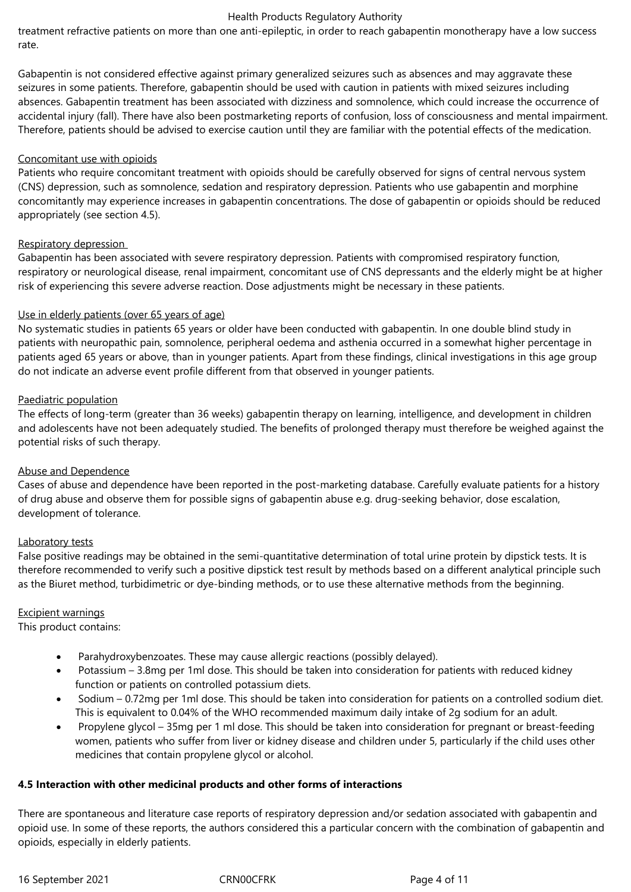treatment refractive patients on more than one anti-epileptic, in order to reach gabapentin monotherapy have a low success rate.

Gabapentin is not considered effective against primary generalized seizures such as absences and may aggravate these seizures in some patients. Therefore, gabapentin should be used with caution in patients with mixed seizures including absences. Gabapentin treatment has been associated with dizziness and somnolence, which could increase the occurrence of accidental injury (fall). There have also been postmarketing reports of confusion, loss of consciousness and mental impairment. Therefore, patients should be advised to exercise caution until they are familiar with the potential effects of the medication.

## Concomitant use with opioids

Patients who require concomitant treatment with opioids should be carefully observed for signs of central nervous system (CNS) depression, such as somnolence, sedation and respiratory depression. Patients who use gabapentin and morphine concomitantly may experience increases in gabapentin concentrations. The dose of gabapentin or opioids should be reduced appropriately (see section 4.5).

## Respiratory depression

Gabapentin has been associated with severe respiratory depression. Patients with compromised respiratory function, respiratory or neurological disease, renal impairment, concomitant use of CNS depressants and the elderly might be at higher risk of experiencing this severe adverse reaction. Dose adjustments might be necessary in these patients.

## Use in elderly patients (over 65 years of age)

No systematic studies in patients 65 years or older have been conducted with gabapentin. In one double blind study in patients with neuropathic pain, somnolence, peripheral oedema and asthenia occurred in a somewhat higher percentage in patients aged 65 years or above, than in younger patients. Apart from these findings, clinical investigations in this age group do not indicate an adverse event profile different from that observed in younger patients.

## Paediatric population

The effects of long-term (greater than 36 weeks) gabapentin therapy on learning, intelligence, and development in children and adolescents have not been adequately studied. The benefits of prolonged therapy must therefore be weighed against the potential risks of such therapy.

## Abuse and Dependence

Cases of abuse and dependence have been reported in the post-marketing database. Carefully evaluate patients for a history of drug abuse and observe them for possible signs of gabapentin abuse e.g. drug-seeking behavior, dose escalation, development of tolerance.

## Laboratory tests

False positive readings may be obtained in the semi-quantitative determination of total urine protein by dipstick tests. It is therefore recommended to verify such a positive dipstick test result by methods based on a different analytical principle such as the Biuret method, turbidimetric or dye-binding methods, or to use these alternative methods from the beginning.

# Excipient warnings

This product contains:

- Parahydroxybenzoates. These may cause allergic reactions (possibly delayed).
- Potassium 3.8mg per 1ml dose. This should be taken into consideration for patients with reduced kidney function or patients on controlled potassium diets.
- Sodium 0.72mg per 1ml dose. This should be taken into consideration for patients on a controlled sodium diet. This is equivalent to 0.04% of the WHO recommended maximum daily intake of 2g sodium for an adult.
- Propylene glycol 35mg per 1 ml dose. This should be taken into consideration for pregnant or breast-feeding women, patients who suffer from liver or kidney disease and children under 5, particularly if the child uses other medicines that contain propylene glycol or alcohol.

# **4.5 Interaction with other medicinal products and other forms of interactions**

There are spontaneous and literature case reports of respiratory depression and/or sedation associated with gabapentin and opioid use. In some of these reports, the authors considered this a particular concern with the combination of gabapentin and opioids, especially in elderly patients.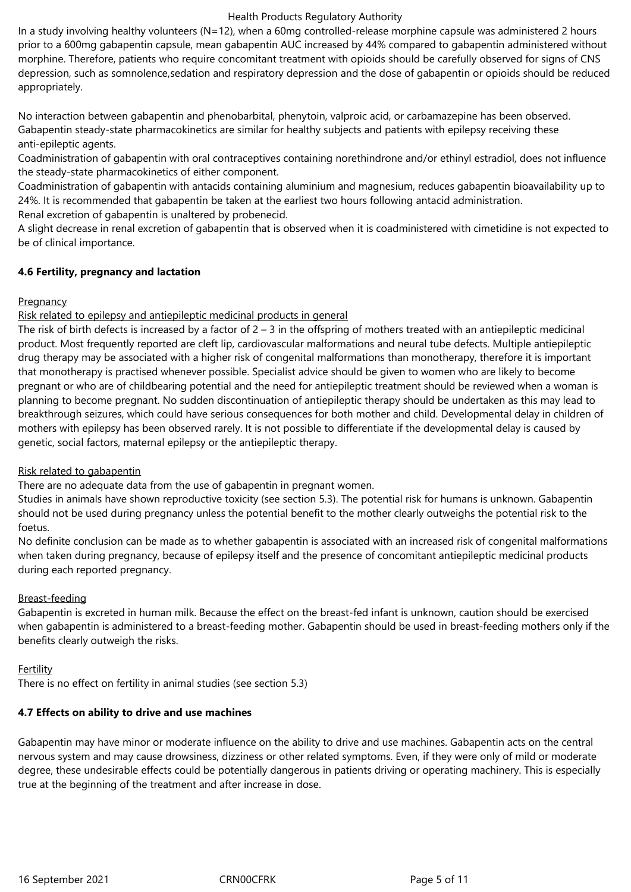In a study involving healthy volunteers (N=12), when a 60mg controlled-release morphine capsule was administered 2 hours prior to a 600mg gabapentin capsule, mean gabapentin AUC increased by 44% compared to gabapentin administered without morphine. Therefore, patients who require concomitant treatment with opioids should be carefully observed for signs of CNS depression, such as somnolence,sedation and respiratory depression and the dose of gabapentin or opioids should be reduced appropriately.

No interaction between gabapentin and phenobarbital, phenytoin, valproic acid, or carbamazepine has been observed. Gabapentin steady-state pharmacokinetics are similar for healthy subjects and patients with epilepsy receiving these anti-epileptic agents.

Coadministration of gabapentin with oral contraceptives containing norethindrone and/or ethinyl estradiol, does not influence the steady-state pharmacokinetics of either component.

Coadministration of gabapentin with antacids containing aluminium and magnesium, reduces gabapentin bioavailability up to 24%. It is recommended that gabapentin be taken at the earliest two hours following antacid administration. Renal excretion of gabapentin is unaltered by probenecid.

A slight decrease in renal excretion of gabapentin that is observed when it is coadministered with cimetidine is not expected to be of clinical importance.

## **4.6 Fertility, pregnancy and lactation**

## **Pregnancy**

## Risk related to epilepsy and antiepileptic medicinal products in general

The risk of birth defects is increased by a factor of  $2 - 3$  in the offspring of mothers treated with an antiepileptic medicinal product. Most frequently reported are cleft lip, cardiovascular malformations and neural tube defects. Multiple antiepileptic drug therapy may be associated with a higher risk of congenital malformations than monotherapy, therefore it is important that monotherapy is practised whenever possible. Specialist advice should be given to women who are likely to become pregnant or who are of childbearing potential and the need for antiepileptic treatment should be reviewed when a woman is planning to become pregnant. No sudden discontinuation of antiepileptic therapy should be undertaken as this may lead to breakthrough seizures, which could have serious consequences for both mother and child. Developmental delay in children of mothers with epilepsy has been observed rarely. It is not possible to differentiate if the developmental delay is caused by genetic, social factors, maternal epilepsy or the antiepileptic therapy.

# Risk related to gabapentin

There are no adequate data from the use of gabapentin in pregnant women.

Studies in animals have shown reproductive toxicity (see section 5.3). The potential risk for humans is unknown. Gabapentin should not be used during pregnancy unless the potential benefit to the mother clearly outweighs the potential risk to the foetus.

No definite conclusion can be made as to whether gabapentin is associated with an increased risk of congenital malformations when taken during pregnancy, because of epilepsy itself and the presence of concomitant antiepileptic medicinal products during each reported pregnancy.

# Breast-feeding

Gabapentin is excreted in human milk. Because the effect on the breast-fed infant is unknown, caution should be exercised when gabapentin is administered to a breast-feeding mother. Gabapentin should be used in breast-feeding mothers only if the benefits clearly outweigh the risks.

## Fertility

There is no effect on fertility in animal studies (see section 5.3)

## **4.7 Effects on ability to drive and use machines**

Gabapentin may have minor or moderate influence on the ability to drive and use machines. Gabapentin acts on the central nervous system and may cause drowsiness, dizziness or other related symptoms. Even, if they were only of mild or moderate degree, these undesirable effects could be potentially dangerous in patients driving or operating machinery. This is especially true at the beginning of the treatment and after increase in dose.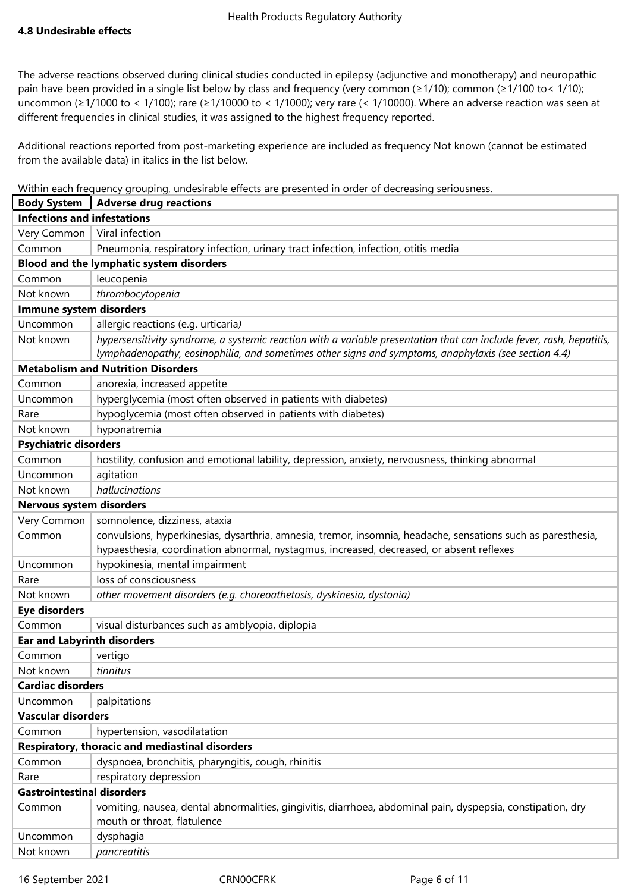The adverse reactions observed during clinical studies conducted in epilepsy (adjunctive and monotherapy) and neuropathic pain have been provided in a single list below by class and frequency (very common (≥1/10); common (≥1/100 to< 1/10); uncommon (≥1/1000 to < 1/100); rare (≥1/10000 to < 1/1000); very rare (< 1/10000). Where an adverse reaction was seen at different frequencies in clinical studies, it was assigned to the highest frequency reported.

Additional reactions reported from post-marketing experience are included as frequency Not known (cannot be estimated from the available data) in italics in the list below.

Within each frequency grouping, undesirable effects are presented in order of decreasing seriousness.

| <b>Body System</b>                 | <b>Adverse drug reactions</b>                                                                                                                                                                                                |
|------------------------------------|------------------------------------------------------------------------------------------------------------------------------------------------------------------------------------------------------------------------------|
| <b>Infections and infestations</b> |                                                                                                                                                                                                                              |
| Very Common                        | Viral infection                                                                                                                                                                                                              |
| Common                             | Pneumonia, respiratory infection, urinary tract infection, infection, otitis media                                                                                                                                           |
|                                    | Blood and the lymphatic system disorders                                                                                                                                                                                     |
| Common                             | leucopenia                                                                                                                                                                                                                   |
| Not known                          | thrombocytopenia                                                                                                                                                                                                             |
| Immune system disorders            |                                                                                                                                                                                                                              |
| Uncommon                           | allergic reactions (e.g. urticaria)                                                                                                                                                                                          |
| Not known                          | hypersensitivity syndrome, a systemic reaction with a variable presentation that can include fever, rash, hepatitis,<br>lymphadenopathy, eosinophilia, and sometimes other signs and symptoms, anaphylaxis (see section 4.4) |
|                                    | <b>Metabolism and Nutrition Disorders</b>                                                                                                                                                                                    |
| Common                             | anorexia, increased appetite                                                                                                                                                                                                 |
| Uncommon                           | hyperglycemia (most often observed in patients with diabetes)                                                                                                                                                                |
| Rare                               | hypoglycemia (most often observed in patients with diabetes)                                                                                                                                                                 |
| Not known                          | hyponatremia                                                                                                                                                                                                                 |
| <b>Psychiatric disorders</b>       |                                                                                                                                                                                                                              |
| Common                             | hostility, confusion and emotional lability, depression, anxiety, nervousness, thinking abnormal                                                                                                                             |
| Uncommon                           | agitation                                                                                                                                                                                                                    |
| Not known                          | hallucinations                                                                                                                                                                                                               |
| <b>Nervous system disorders</b>    |                                                                                                                                                                                                                              |
| Very Common                        | somnolence, dizziness, ataxia                                                                                                                                                                                                |
| Common                             | convulsions, hyperkinesias, dysarthria, amnesia, tremor, insomnia, headache, sensations such as paresthesia,<br>hypaesthesia, coordination abnormal, nystagmus, increased, decreased, or absent reflexes                     |
| Uncommon                           | hypokinesia, mental impairment                                                                                                                                                                                               |
| Rare                               | loss of consciousness                                                                                                                                                                                                        |
| Not known                          | other movement disorders (e.g. choreoathetosis, dyskinesia, dystonia)                                                                                                                                                        |
| <b>Eye disorders</b>               |                                                                                                                                                                                                                              |
| Common                             | visual disturbances such as amblyopia, diplopia                                                                                                                                                                              |
| <b>Ear and Labyrinth disorders</b> |                                                                                                                                                                                                                              |
| Common                             | vertigo                                                                                                                                                                                                                      |
| Not known                          | tinnitus                                                                                                                                                                                                                     |
| <b>Cardiac disorders</b>           |                                                                                                                                                                                                                              |
| Uncommon                           | palpitations                                                                                                                                                                                                                 |
| <b>Vascular disorders</b>          |                                                                                                                                                                                                                              |
| Common                             | hypertension, vasodilatation                                                                                                                                                                                                 |
|                                    | Respiratory, thoracic and mediastinal disorders                                                                                                                                                                              |
| Common                             | dyspnoea, bronchitis, pharyngitis, cough, rhinitis                                                                                                                                                                           |
| Rare                               | respiratory depression                                                                                                                                                                                                       |
| <b>Gastrointestinal disorders</b>  |                                                                                                                                                                                                                              |
| Common                             | vomiting, nausea, dental abnormalities, gingivitis, diarrhoea, abdominal pain, dyspepsia, constipation, dry<br>mouth or throat, flatulence                                                                                   |
| Uncommon                           | dysphagia                                                                                                                                                                                                                    |
| Not known                          | pancreatitis                                                                                                                                                                                                                 |

16 September 2021 CRN00CFRK Page 6 of 11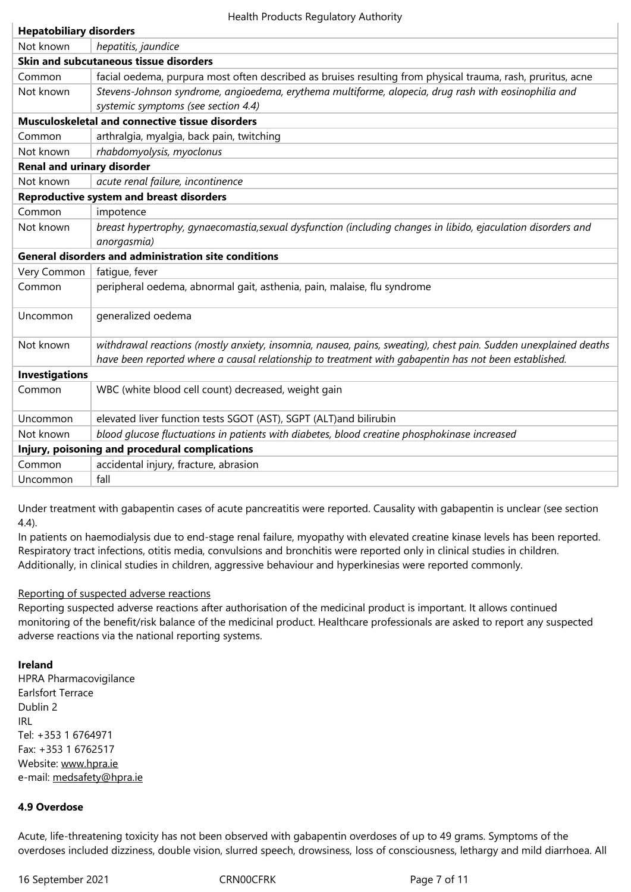|                                                             | <b>Skin and subcutaneous tissue disorders</b>                                                                   |  |  |  |
|-------------------------------------------------------------|-----------------------------------------------------------------------------------------------------------------|--|--|--|
| Common                                                      | facial oedema, purpura most often described as bruises resulting from physical trauma, rash, pruritus, acne     |  |  |  |
| Not known                                                   | Stevens-Johnson syndrome, angioedema, erythema multiforme, alopecia, drug rash with eosinophilia and            |  |  |  |
|                                                             | systemic symptoms (see section 4.4)                                                                             |  |  |  |
|                                                             | Musculoskeletal and connective tissue disorders                                                                 |  |  |  |
| Common                                                      | arthralgia, myalgia, back pain, twitching                                                                       |  |  |  |
| Not known                                                   | rhabdomyolysis, myoclonus                                                                                       |  |  |  |
| <b>Renal and urinary disorder</b>                           |                                                                                                                 |  |  |  |
| Not known                                                   | acute renal failure, incontinence                                                                               |  |  |  |
|                                                             | <b>Reproductive system and breast disorders</b>                                                                 |  |  |  |
| Common                                                      | impotence                                                                                                       |  |  |  |
| Not known                                                   | breast hypertrophy, gynaecomastia, sexual dysfunction (including changes in libido, ejaculation disorders and   |  |  |  |
|                                                             | anorgasmia)                                                                                                     |  |  |  |
| <b>General disorders and administration site conditions</b> |                                                                                                                 |  |  |  |
| Very Common                                                 | fatigue, fever                                                                                                  |  |  |  |
| Common                                                      | peripheral oedema, abnormal gait, asthenia, pain, malaise, flu syndrome                                         |  |  |  |
|                                                             |                                                                                                                 |  |  |  |
| Uncommon                                                    | generalized oedema                                                                                              |  |  |  |
| Not known                                                   | withdrawal reactions (mostly anxiety, insomnia, nausea, pains, sweating), chest pain. Sudden unexplained deaths |  |  |  |
|                                                             | have been reported where a causal relationship to treatment with gabapentin has not been established.           |  |  |  |
| <b>Investigations</b>                                       |                                                                                                                 |  |  |  |
| Common                                                      | WBC (white blood cell count) decreased, weight gain                                                             |  |  |  |
| Uncommon                                                    | elevated liver function tests SGOT (AST), SGPT (ALT)and bilirubin                                               |  |  |  |
| Not known                                                   | blood glucose fluctuations in patients with diabetes, blood creatine phosphokinase increased                    |  |  |  |
| Injury, poisoning and procedural complications              |                                                                                                                 |  |  |  |
| Common                                                      | accidental injury, fracture, abrasion                                                                           |  |  |  |
| Uncommon                                                    | fall                                                                                                            |  |  |  |

Under treatment with gabapentin cases of acute pancreatitis were reported. Causality with gabapentin is unclear (see section 4.4).

In patients on haemodialysis due to end-stage renal failure, myopathy with elevated creatine kinase levels has been reported. Respiratory tract infections, otitis media, convulsions and bronchitis were reported only in clinical studies in children. Additionally, in clinical studies in children, aggressive behaviour and hyperkinesias were reported commonly.

# Reporting of suspected adverse reactions

Reporting suspected adverse reactions after authorisation of the medicinal product is important. It allows continued monitoring of the benefit/risk balance of the medicinal product. Healthcare professionals are asked to report any suspected adverse reactions via the national reporting systems.

# **Ireland**

HPRA Pharmacovigilance Earlsfort Terrace Dublin 2 IRL Tel: +353 1 6764971 Fax: +353 1 6762517 Website: www.hpra.ie e-mail: medsafety@hpra.ie

# **4.9 Over[dose](http://www.hpra.ie/)**

Acute, l[ife-threatening toxic](mailto:medsafety@hpra.ie)ity has not been observed with gabapentin overdoses of up to 49 grams. Symptoms of the overdoses included dizziness, double vision, slurred speech, drowsiness, loss of consciousness, lethargy and mild diarrhoea. All

16 September 2021 CRN00CFRK Page 7 of 11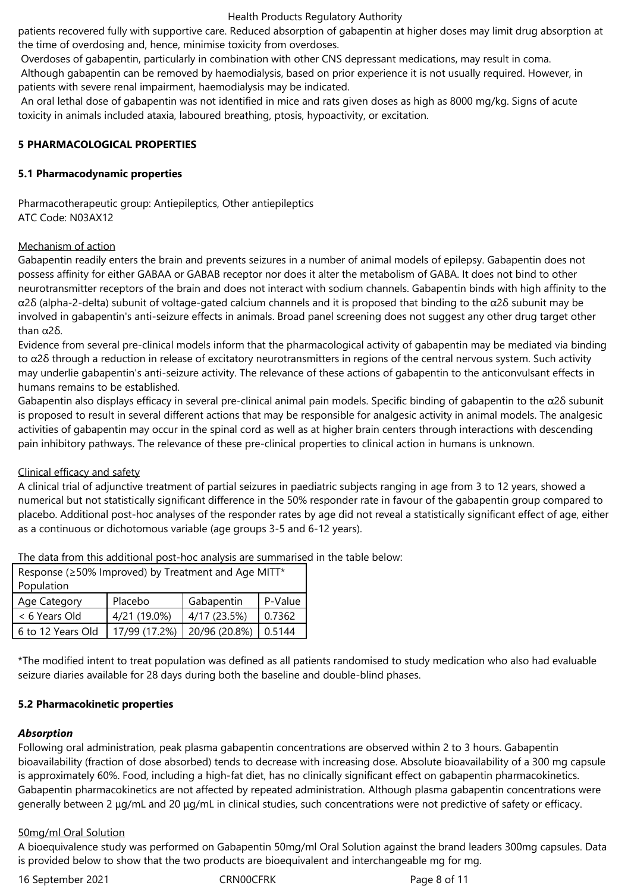patients recovered fully with supportive care. Reduced absorption of gabapentin at higher doses may limit drug absorption at the time of overdosing and, hence, minimise toxicity from overdoses.

Overdoses of gabapentin, particularly in combination with other CNS depressant medications, may result in coma.

Although gabapentin can be removed by haemodialysis, based on prior experience it is not usually required. However, in patients with severe renal impairment, haemodialysis may be indicated.

An oral lethal dose of gabapentin was not identified in mice and rats given doses as high as 8000 mg/kg. Signs of acute toxicity in animals included ataxia, laboured breathing, ptosis, hypoactivity, or excitation.

## **5 PHARMACOLOGICAL PROPERTIES**

## **5.1 Pharmacodynamic properties**

Pharmacotherapeutic group: Antiepileptics, Other antiepileptics ATC Code: N03AX12

## Mechanism of action

Gabapentin readily enters the brain and prevents seizures in a number of animal models of epilepsy. Gabapentin does not possess affinity for either GABAA or GABAB receptor nor does it alter the metabolism of GABA. It does not bind to other neurotransmitter receptors of the brain and does not interact with sodium channels. Gabapentin binds with high affinity to the α2δ (alpha-2-delta) subunit of voltage-gated calcium channels and it is proposed that binding to the α2δ subunit may be involved in gabapentin's anti-seizure effects in animals. Broad panel screening does not suggest any other drug target other than α2δ.

Evidence from several pre-clinical models inform that the pharmacological activity of gabapentin may be mediated via binding to  $α2δ$  through a reduction in release of excitatory neurotransmitters in regions of the central nervous system. Such activity may underlie gabapentin's anti-seizure activity. The relevance of these actions of gabapentin to the anticonvulsant effects in humans remains to be established.

Gabapentin also displays efficacy in several pre-clinical animal pain models. Specific binding of gabapentin to the α2δ subunit is proposed to result in several different actions that may be responsible for analgesic activity in animal models. The analgesic activities of gabapentin may occur in the spinal cord as well as at higher brain centers through interactions with descending pain inhibitory pathways. The relevance of these pre-clinical properties to clinical action in humans is unknown.

# Clinical efficacy and safety

A clinical trial of adjunctive treatment of partial seizures in paediatric subjects ranging in age from 3 to 12 years, showed a numerical but not statistically significant difference in the 50% responder rate in favour of the gabapentin group compared to placebo. Additional post-hoc analyses of the responder rates by age did not reveal a statistically significant effect of age, either as a continuous or dichotomous variable (age groups 3-5 and 6-12 years).

The data from this additional post-hoc analysis are summarised in the table below:

| Response ( $\geq$ 50% Improved) by Treatment and Age MITT* |               |               |         |  |
|------------------------------------------------------------|---------------|---------------|---------|--|
| Population                                                 |               |               |         |  |
| Age Category                                               | Placebo       | Gabapentin    | P-Value |  |
| < 6 Years Old                                              | 4/21 (19.0%)  | 4/17 (23.5%)  | 0.7362  |  |
| 6 to 12 Years Old                                          | 17/99 (17.2%) | 20/96 (20.8%) | 0.5144  |  |

\*The modified intent to treat population was defined as all patients randomised to study medication who also had evaluable seizure diaries available for 28 days during both the baseline and double-blind phases.

# **5.2 Pharmacokinetic properties**

## *Absorption*

Following oral administration, peak plasma gabapentin concentrations are observed within 2 to 3 hours. Gabapentin bioavailability (fraction of dose absorbed) tends to decrease with increasing dose. Absolute bioavailability of a 300 mg capsule is approximately 60%. Food, including a high-fat diet, has no clinically significant effect on gabapentin pharmacokinetics. Gabapentin pharmacokinetics are not affected by repeated administration. Although plasma gabapentin concentrations were generally between 2 μg/mL and 20 μg/mL in clinical studies, such concentrations were not predictive of safety or efficacy.

## 50mg/ml Oral Solution

A bioequivalence study was performed on Gabapentin 50mg/ml Oral Solution against the brand leaders 300mg capsules. Data is provided below to show that the two products are bioequivalent and interchangeable mg for mg.

16 September 2021 CRN00CFRK Page 8 of 11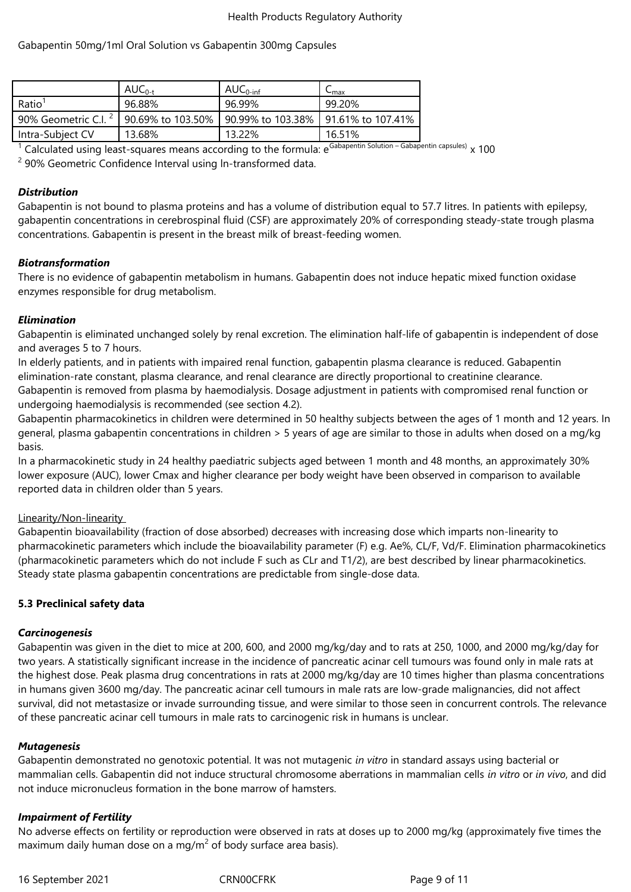# Gabapentin 50mg/1ml Oral Solution vs Gabapentin 300mg Capsules

|                                                                                             | $AUC_{0-t}$ | $AUC_{0\text{-inf}}$ | $\mathsf{L}_{\mathsf{max}}$ |
|---------------------------------------------------------------------------------------------|-------------|----------------------|-----------------------------|
| Ratio <sup>1</sup>                                                                          | 96.88%      | 96.99%               | 99.20%                      |
| 90% Geometric C.I. <sup>2</sup>   90.69% to 103.50%   90.99% to 103.38%   91.61% to 107.41% |             |                      |                             |
| Intra-Subject CV                                                                            | 13.68%      | 13.22%               | 16.51%                      |

<sup>1</sup> Calculated using least-squares means according to the formula: e<sup>Gabapentin Solution – Gabapentin capsules)  $\times$  100</sup>

<sup>2</sup> 90% Geometric Confidence Interval using In-transformed data.

## *Distribution*

Gabapentin is not bound to plasma proteins and has a volume of distribution equal to 57.7 litres. In patients with epilepsy, gabapentin concentrations in cerebrospinal fluid (CSF) are approximately 20% of corresponding steady-state trough plasma concentrations. Gabapentin is present in the breast milk of breast-feeding women.

## *Biotransformation*

There is no evidence of gabapentin metabolism in humans. Gabapentin does not induce hepatic mixed function oxidase enzymes responsible for drug metabolism.

## *Elimination*

Gabapentin is eliminated unchanged solely by renal excretion. The elimination half-life of gabapentin is independent of dose and averages 5 to 7 hours.

In elderly patients, and in patients with impaired renal function, gabapentin plasma clearance is reduced. Gabapentin elimination-rate constant, plasma clearance, and renal clearance are directly proportional to creatinine clearance. Gabapentin is removed from plasma by haemodialysis. Dosage adjustment in patients with compromised renal function or undergoing haemodialysis is recommended (see section 4.2).

Gabapentin pharmacokinetics in children were determined in 50 healthy subjects between the ages of 1 month and 12 years. In general, plasma gabapentin concentrations in children > 5 years of age are similar to those in adults when dosed on a mg/kg basis.

In a pharmacokinetic study in 24 healthy paediatric subjects aged between 1 month and 48 months, an approximately 30% lower exposure (AUC), lower Cmax and higher clearance per body weight have been observed in comparison to available reported data in children older than 5 years.

## Linearity/Non-linearity

Gabapentin bioavailability (fraction of dose absorbed) decreases with increasing dose which imparts non-linearity to pharmacokinetic parameters which include the bioavailability parameter (F) e.g. Ae%, CL/F, Vd/F. Elimination pharmacokinetics (pharmacokinetic parameters which do not include F such as CLr and T1/2), are best described by linear pharmacokinetics. Steady state plasma gabapentin concentrations are predictable from single-dose data.

# **5.3 Preclinical safety data**

# *Carcinogenesis*

Gabapentin was given in the diet to mice at 200, 600, and 2000 mg/kg/day and to rats at 250, 1000, and 2000 mg/kg/day for two years. A statistically significant increase in the incidence of pancreatic acinar cell tumours was found only in male rats at the highest dose. Peak plasma drug concentrations in rats at 2000 mg/kg/day are 10 times higher than plasma concentrations in humans given 3600 mg/day. The pancreatic acinar cell tumours in male rats are low-grade malignancies, did not affect survival, did not metastasize or invade surrounding tissue, and were similar to those seen in concurrent controls. The relevance of these pancreatic acinar cell tumours in male rats to carcinogenic risk in humans is unclear.

## *Mutagenesis*

Gabapentin demonstrated no genotoxic potential. It was not mutagenic *in vitro* in standard assays using bacterial or mammalian cells. Gabapentin did not induce structural chromosome aberrations in mammalian cells *in vitro* or *in vivo*, and did not induce micronucleus formation in the bone marrow of hamsters.

# *Impairment of Fertility*

No adverse effects on fertility or reproduction were observed in rats at doses up to 2000 mg/kg (approximately five times the maximum daily human dose on a mg/m<sup>2</sup> of body surface area basis).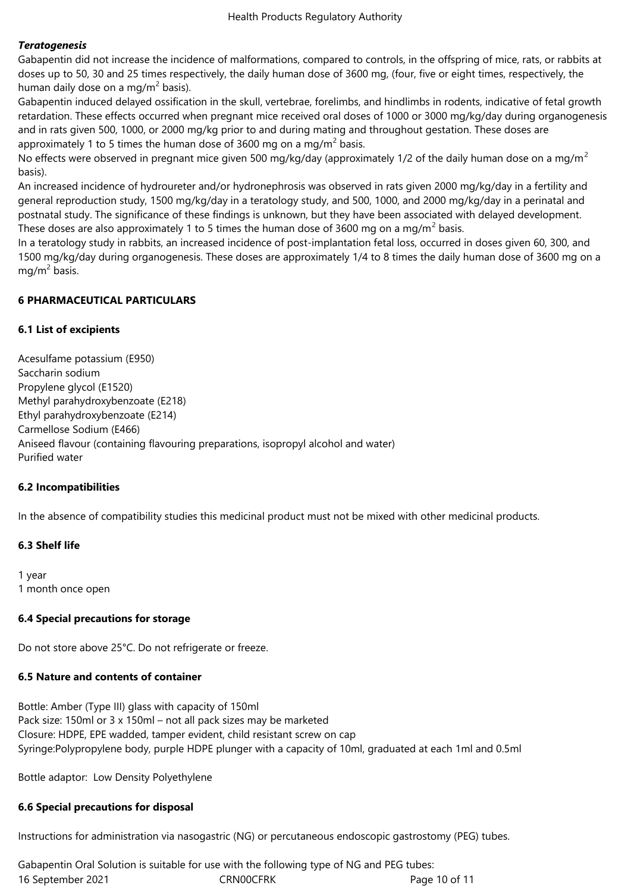## *Teratogenesis*

Gabapentin did not increase the incidence of malformations, compared to controls, in the offspring of mice, rats, or rabbits at doses up to 50, 30 and 25 times respectively, the daily human dose of 3600 mg, (four, five or eight times, respectively, the human daily dose on a mg/m<sup>2</sup> basis).

Gabapentin induced delayed ossification in the skull, vertebrae, forelimbs, and hindlimbs in rodents, indicative of fetal growth retardation. These effects occurred when pregnant mice received oral doses of 1000 or 3000 mg/kg/day during organogenesis and in rats given 500, 1000, or 2000 mg/kg prior to and during mating and throughout gestation. These doses are approximately 1 to 5 times the human dose of 3600 mg on a mg/m<sup>2</sup> basis.

No effects were observed in pregnant mice given 500 mg/kg/day (approximately 1/2 of the daily human dose on a mg/m<sup>2</sup> basis).

An increased incidence of hydroureter and/or hydronephrosis was observed in rats given 2000 mg/kg/day in a fertility and general reproduction study, 1500 mg/kg/day in a teratology study, and 500, 1000, and 2000 mg/kg/day in a perinatal and postnatal study. The significance of these findings is unknown, but they have been associated with delayed development. These doses are also approximately 1 to 5 times the human dose of 3600 mg on a mg/m<sup>2</sup> basis.

In a teratology study in rabbits, an increased incidence of post-implantation fetal loss, occurred in doses given 60, 300, and 1500 mg/kg/day during organogenesis. These doses are approximately 1/4 to 8 times the daily human dose of 3600 mg on a mg/m<sup>2</sup> basis.

## **6 PHARMACEUTICAL PARTICULARS**

## **6.1 List of excipients**

Acesulfame potassium (E950) Saccharin sodium Propylene glycol (E1520) Methyl parahydroxybenzoate (E218) Ethyl parahydroxybenzoate (E214) Carmellose Sodium (E466) Aniseed flavour (containing flavouring preparations, isopropyl alcohol and water) Purified water

## **6.2 Incompatibilities**

In the absence of compatibility studies this medicinal product must not be mixed with other medicinal products.

# **6.3 Shelf life**

1 year 1 month once open

## **6.4 Special precautions for storage**

Do not store above 25°C. Do not refrigerate or freeze.

## **6.5 Nature and contents of container**

Bottle: Amber (Type III) glass with capacity of 150ml Pack size: 150ml or 3 x 150ml – not all pack sizes may be marketed Closure: HDPE, EPE wadded, tamper evident, child resistant screw on cap Syringe:Polypropylene body, purple HDPE plunger with a capacity of 10ml, graduated at each 1ml and 0.5ml

Bottle adaptor: Low Density Polyethylene

## **6.6 Special precautions for disposal**

Instructions for administration via nasogastric (NG) or percutaneous endoscopic gastrostomy (PEG) tubes.

16 September 2021 CRN00CFRK Page 10 of 11 Gabapentin Oral Solution is suitable for use with the following type of NG and PEG tubes: